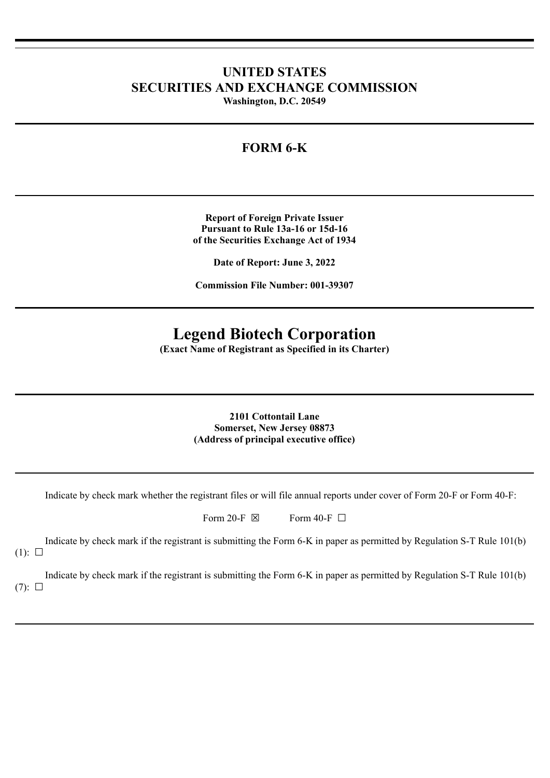## **UNITED STATES SECURITIES AND EXCHANGE COMMISSION**

**Washington, D.C. 20549**

## **FORM 6-K**

**Report of Foreign Private Issuer Pursuant to Rule 13a-16 or 15d-16 of the Securities Exchange Act of 1934**

**Date of Report: June 3, 2022**

**Commission File Number: 001-39307**

# **Legend Biotech Corporation**

**(Exact Name of Registrant as Specified in its Charter)**

**2101 Cottontail Lane Somerset, New Jersey 08873 (Address of principal executive office)**

Indicate by check mark whether the registrant files or will file annual reports under cover of Form 20-F or Form 40-F:

| Form 20-F $\boxtimes$ | Form 40-F $\Box$ |  |
|-----------------------|------------------|--|
|-----------------------|------------------|--|

Indicate by check mark if the registrant is submitting the Form 6-K in paper as permitted by Regulation S-T Rule 101(b)

 $(1)$ :  $\square$ 

Indicate by check mark if the registrant is submitting the Form 6-K in paper as permitted by Regulation S-T Rule 101(b)  $(7): \Box$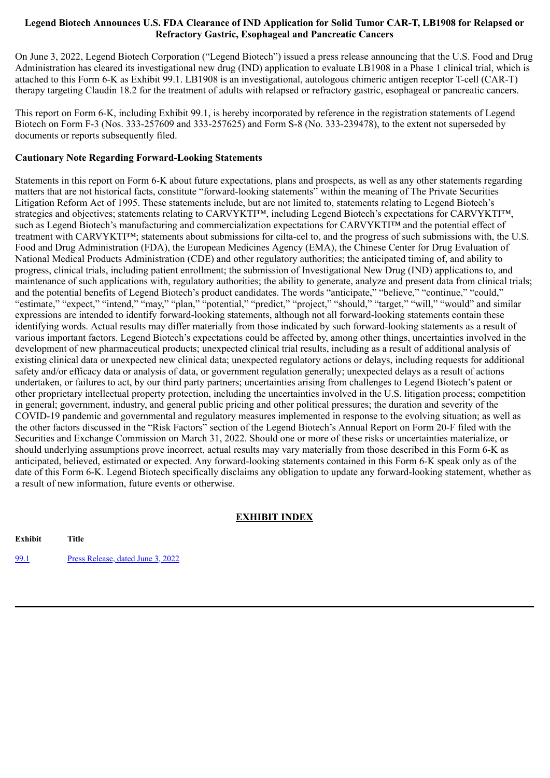### **Legend Biotech Announces U.S. FDA Clearance of IND Application for Solid Tumor CAR-T, LB1908 for Relapsed or Refractory Gastric, Esophageal and Pancreatic Cancers**

On June 3, 2022, Legend Biotech Corporation ("Legend Biotech") issued a press release announcing that the U.S. Food and Drug Administration has cleared its investigational new drug (IND) application to evaluate LB1908 in a Phase 1 clinical trial, which is attached to this Form 6-K as Exhibit 99.1. LB1908 is an investigational, autologous chimeric antigen receptor T-cell (CAR-T) therapy targeting Claudin 18.2 for the treatment of adults with relapsed or refractory gastric, esophageal or pancreatic cancers.

This report on Form 6-K, including Exhibit 99.1, is hereby incorporated by reference in the registration statements of Legend Biotech on Form F-3 (Nos. 333-257609 and 333-257625) and Form S-8 (No. 333-239478), to the extent not superseded by documents or reports subsequently filed.

## **Cautionary Note Regarding Forward-Looking Statements**

Statements in this report on Form 6-K about future expectations, plans and prospects, as well as any other statements regarding matters that are not historical facts, constitute "forward-looking statements" within the meaning of The Private Securities Litigation Reform Act of 1995. These statements include, but are not limited to, statements relating to Legend Biotech's strategies and objectives; statements relating to CARVYKTI™, including Legend Biotech's expectations for CARVYKTI™, such as Legend Biotech's manufacturing and commercialization expectations for CARVYKTI™ and the potential effect of treatment with CARVYKTI™; statements about submissions for cilta-cel to, and the progress of such submissions with, the U.S. Food and Drug Administration (FDA), the European Medicines Agency (EMA), the Chinese Center for Drug Evaluation of National Medical Products Administration (CDE) and other regulatory authorities; the anticipated timing of, and ability to progress, clinical trials, including patient enrollment; the submission of Investigational New Drug (IND) applications to, and maintenance of such applications with, regulatory authorities; the ability to generate, analyze and present data from clinical trials; and the potential benefits of Legend Biotech's product candidates. The words "anticipate," "believe," "continue," "could," "estimate," "expect," "intend," "may," "plan," "potential," "predict," "project," "should," "target," "will," "would" and similar expressions are intended to identify forward-looking statements, although not all forward-looking statements contain these identifying words. Actual results may differ materially from those indicated by such forward-looking statements as a result of various important factors. Legend Biotech's expectations could be affected by, among other things, uncertainties involved in the development of new pharmaceutical products; unexpected clinical trial results, including as a result of additional analysis of existing clinical data or unexpected new clinical data; unexpected regulatory actions or delays, including requests for additional safety and/or efficacy data or analysis of data, or government regulation generally; unexpected delays as a result of actions undertaken, or failures to act, by our third party partners; uncertainties arising from challenges to Legend Biotech's patent or other proprietary intellectual property protection, including the uncertainties involved in the U.S. litigation process; competition in general; government, industry, and general public pricing and other political pressures; the duration and severity of the COVID-19 pandemic and governmental and regulatory measures implemented in response to the evolving situation; as well as the other factors discussed in the "Risk Factors" section of the Legend Biotech's Annual Report on Form 20-F filed with the Securities and Exchange Commission on March 31, 2022. Should one or more of these risks or uncertainties materialize, or should underlying assumptions prove incorrect, actual results may vary materially from those described in this Form 6-K as anticipated, believed, estimated or expected. Any forward-looking statements contained in this Form 6-K speak only as of the date of this Form 6-K. Legend Biotech specifically disclaims any obligation to update any forward-looking statement, whether as a result of new information, future events or otherwise.

## **EXHIBIT INDEX**

**Exhibit Title**

[99.1](#page-3-0) Press [Release,](#page-3-0) dated June 3, 2022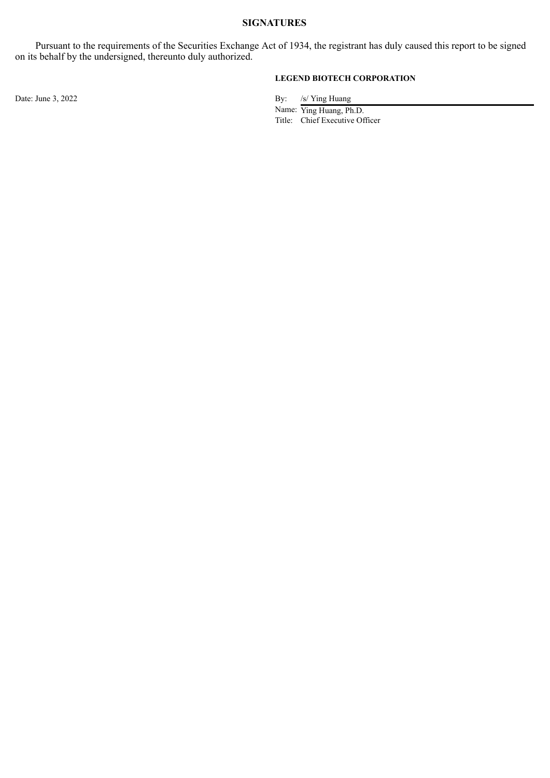## **SIGNATURES**

Pursuant to the requirements of the Securities Exchange Act of 1934, the registrant has duly caused this report to be signed on its behalf by the undersigned, thereunto duly authorized.

## **LEGEND BIOTECH CORPORATION**

Date: June 3, 2022 By: /s/ Ying Huang

Name: Ying Huang, Ph.D. Title: Chief Executive Officer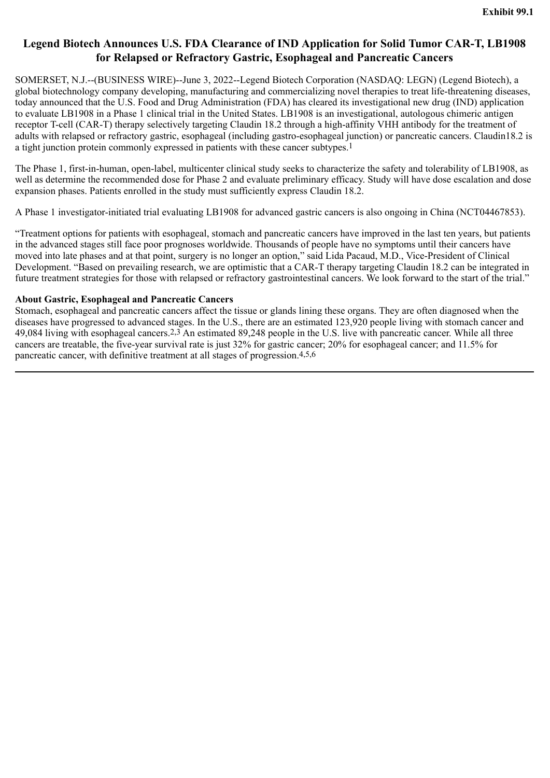## <span id="page-3-0"></span>**Legend Biotech Announces U.S. FDA Clearance of IND Application for Solid Tumor CAR-T, LB1908 for Relapsed or Refractory Gastric, Esophageal and Pancreatic Cancers**

SOMERSET, N.J.--(BUSINESS WIRE)--June 3, 2022--Legend Biotech Corporation (NASDAQ: LEGN) (Legend Biotech), a global biotechnology company developing, manufacturing and commercializing novel therapies to treat life-threatening diseases, today announced that the U.S. Food and Drug Administration (FDA) has cleared its investigational new drug (IND) application to evaluate LB1908 in a Phase 1 clinical trial in the United States. LB1908 is an investigational, autologous chimeric antigen receptor T-cell (CAR-T) therapy selectively targeting Claudin 18.2 through a high-affinity VHH antibody for the treatment of adults with relapsed or refractory gastric, esophageal (including gastro-esophageal junction) or pancreatic cancers. Claudin18.2 is a tight junction protein commonly expressed in patients with these cancer subtypes.1

The Phase 1, first-in-human, open-label, multicenter clinical study seeks to characterize the safety and tolerability of LB1908, as well as determine the recommended dose for Phase 2 and evaluate preliminary efficacy. Study will have dose escalation and dose expansion phases. Patients enrolled in the study must sufficiently express Claudin 18.2.

A Phase 1 investigator-initiated trial evaluating LB1908 for advanced gastric cancers is also ongoing in China (NCT04467853).

"Treatment options for patients with esophageal, stomach and pancreatic cancers have improved in the last ten years, but patients in the advanced stages still face poor prognoses worldwide. Thousands of people have no symptoms until their cancers have moved into late phases and at that point, surgery is no longer an option," said Lida Pacaud, M.D., Vice-President of Clinical Development. "Based on prevailing research, we are optimistic that a CAR-T therapy targeting Claudin 18.2 can be integrated in future treatment strategies for those with relapsed or refractory gastrointestinal cancers. We look forward to the start of the trial."

## **About Gastric, Esophageal and Pancreatic Cancers**

Stomach, esophageal and pancreatic cancers affect the tissue or glands lining these organs. They are often diagnosed when the diseases have progressed to advanced stages. In the U.S., there are an estimated 123,920 people living with stomach cancer and 49,084 living with esophageal cancers.2,3 An estimated 89,248 people in the U.S. live with pancreatic cancer. While all three cancers are treatable, the five-year survival rate is just 32% for gastric cancer; 20% for esophageal cancer; and 11.5% for pancreatic cancer, with definitive treatment at all stages of progression.4,5,6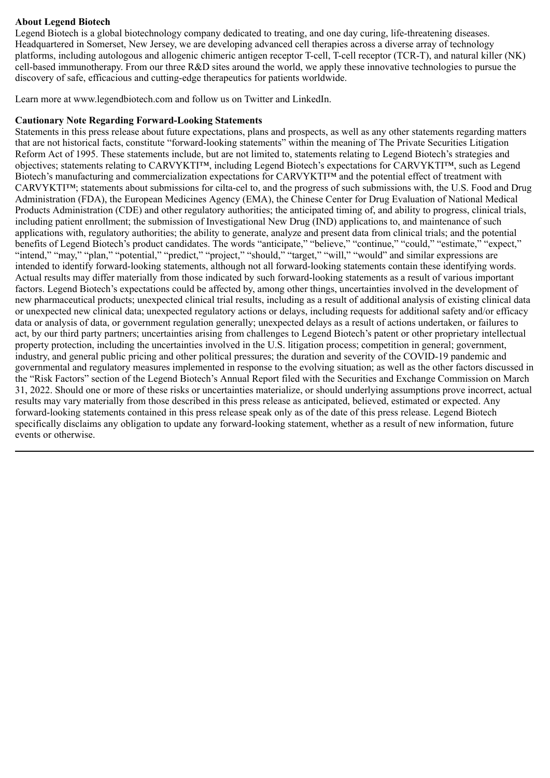## **About Legend Biotech**

Legend Biotech is a global biotechnology company dedicated to treating, and one day curing, life-threatening diseases. Headquartered in Somerset, New Jersey, we are developing advanced cell therapies across a diverse array of technology platforms, including autologous and allogenic chimeric antigen receptor T-cell, T-cell receptor (TCR-T), and natural killer (NK) cell-based immunotherapy. From our three R&D sites around the world, we apply these innovative technologies to pursue the discovery of safe, efficacious and cutting-edge therapeutics for patients worldwide.

Learn more at www.legendbiotech.com and follow us on Twitter and LinkedIn.

#### **Cautionary Note Regarding Forward-Looking Statements**

Statements in this press release about future expectations, plans and prospects, as well as any other statements regarding matters that are not historical facts, constitute "forward-looking statements" within the meaning of The Private Securities Litigation Reform Act of 1995. These statements include, but are not limited to, statements relating to Legend Biotech's strategies and objectives; statements relating to CARVYKTI™, including Legend Biotech's expectations for CARVYKTI™, such as Legend Biotech's manufacturing and commercialization expectations for CARVYKTI™ and the potential effect of treatment with CARVYKTI™; statements about submissions for cilta-cel to, and the progress of such submissions with, the U.S. Food and Drug Administration (FDA), the European Medicines Agency (EMA), the Chinese Center for Drug Evaluation of National Medical Products Administration (CDE) and other regulatory authorities; the anticipated timing of, and ability to progress, clinical trials, including patient enrollment; the submission of Investigational New Drug (IND) applications to, and maintenance of such applications with, regulatory authorities; the ability to generate, analyze and present data from clinical trials; and the potential benefits of Legend Biotech's product candidates. The words "anticipate," "believe," "continue," "could," "estimate," "expect," "intend," "may," "plan," "potential," "predict," "project," "should," "target," "will," "would" and similar expressions are intended to identify forward-looking statements, although not all forward-looking statements contain these identifying words. Actual results may differ materially from those indicated by such forward-looking statements as a result of various important factors. Legend Biotech's expectations could be affected by, among other things, uncertainties involved in the development of new pharmaceutical products; unexpected clinical trial results, including as a result of additional analysis of existing clinical data or unexpected new clinical data; unexpected regulatory actions or delays, including requests for additional safety and/or efficacy data or analysis of data, or government regulation generally; unexpected delays as a result of actions undertaken, or failures to act, by our third party partners; uncertainties arising from challenges to Legend Biotech's patent or other proprietary intellectual property protection, including the uncertainties involved in the U.S. litigation process; competition in general; government, industry, and general public pricing and other political pressures; the duration and severity of the COVID-19 pandemic and governmental and regulatory measures implemented in response to the evolving situation; as well as the other factors discussed in the "Risk Factors" section of the Legend Biotech's Annual Report filed with the Securities and Exchange Commission on March 31, 2022. Should one or more of these risks or uncertainties materialize, or should underlying assumptions prove incorrect, actual results may vary materially from those described in this press release as anticipated, believed, estimated or expected. Any forward-looking statements contained in this press release speak only as of the date of this press release. Legend Biotech specifically disclaims any obligation to update any forward-looking statement, whether as a result of new information, future events or otherwise.